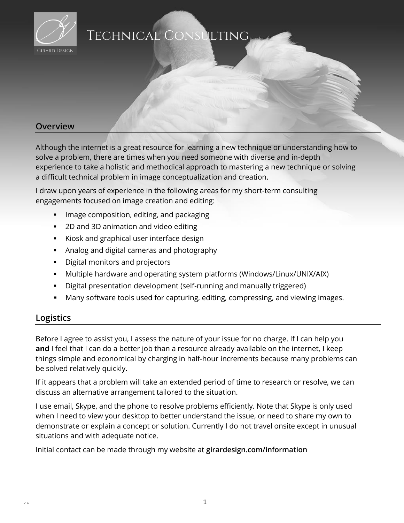

# Technical Consulting

### **Overview**

Although the internet is a great resource for learning a new technique or understanding how to solve a problem, there are times when you need someone with diverse and in-depth experience to take a holistic and methodical approach to mastering a new technique or solving a difficult technical problem in image conceptualization and creation.

I draw upon years of experience in the following areas for my short-term consulting engagements focused on image creation and editing:

- **IMage composition, editing, and packaging**
- 2D and 3D animation and video editing
- Kiosk and graphical user interface design
- Analog and digital cameras and photography
- **•** Digital monitors and projectors
- Multiple hardware and operating system platforms (Windows/Linux/UNIX/AIX)
- Digital presentation development (self-running and manually triggered)
- Many software tools used for capturing, editing, compressing, and viewing images.

### **Logistics**

Before I agree to assist you, I assess the nature of your issue for no charge. If I can help you **and** I feel that I can do a better job than a resource already available on the internet, I keep things simple and economical by charging in half-hour increments because many problems can be solved relatively quickly.

If it appears that a problem will take an extended period of time to research or resolve, we can discuss an alternative arrangement tailored to the situation.

I use email, Skype, and the phone to resolve problems efficiently. Note that Skype is only used when I need to view your desktop to better understand the issue, or need to share my own to demonstrate or explain a concept or solution. Currently I do not travel onsite except in unusual situations and with adequate notice.

Initial contact can be made through my website at **girardesign.com/information**